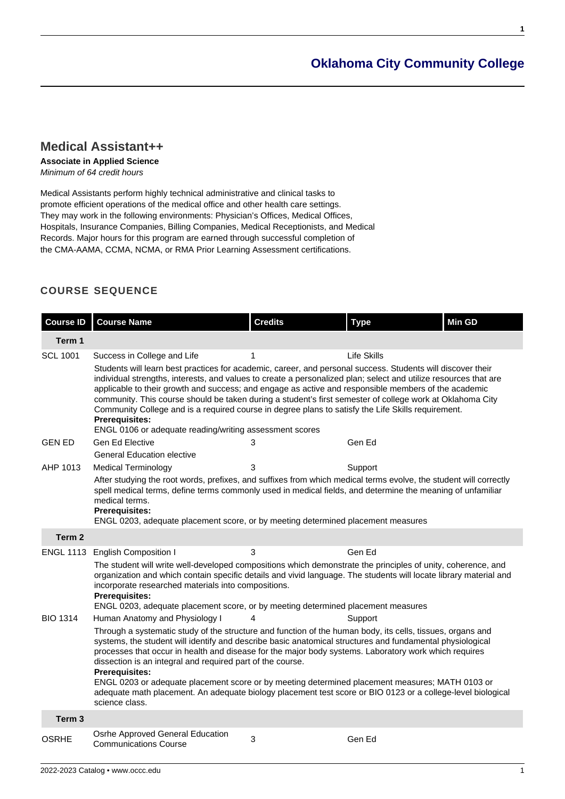# **[Oklahoma City Community College](https://www.occc.edu/catalog/)**

**1**

## **[Medical Assistant++](https://www.occc.edu/catalog/degree-programs/health-professions/medical-assistant/)**

#### **Associate in Applied Science**

Minimum of 64 credit hours

Medical Assistants perform highly technical administrative and clinical tasks to promote efficient operations of the medical office and other health care settings. They may work in the following environments: Physician's Offices, Medical Offices, Hospitals, Insurance Companies, Billing Companies, Medical Receptionists, and Medical Records. Major hours for this program are earned through successful completion of the CMA-AAMA, CCMA, NCMA, or RMA Prior Learning Assessment certifications.

## **COURSE SEQUENCE**

| <b>Course ID</b>  | <b>Course Name</b>                                                                                                                                                                                                                                                                                                                                                                                                                                                                                                                                                                                                                             | <b>Credits</b> | <b>Type</b>        | <b>Min GD</b> |  |  |
|-------------------|------------------------------------------------------------------------------------------------------------------------------------------------------------------------------------------------------------------------------------------------------------------------------------------------------------------------------------------------------------------------------------------------------------------------------------------------------------------------------------------------------------------------------------------------------------------------------------------------------------------------------------------------|----------------|--------------------|---------------|--|--|
| Term 1            |                                                                                                                                                                                                                                                                                                                                                                                                                                                                                                                                                                                                                                                |                |                    |               |  |  |
| <b>SCL 1001</b>   | Success in College and Life                                                                                                                                                                                                                                                                                                                                                                                                                                                                                                                                                                                                                    | 1              | <b>Life Skills</b> |               |  |  |
|                   | Students will learn best practices for academic, career, and personal success. Students will discover their<br>individual strengths, interests, and values to create a personalized plan; select and utilize resources that are<br>applicable to their growth and success; and engage as active and responsible members of the academic<br>community. This course should be taken during a student's first semester of college work at Oklahoma City<br>Community College and is a required course in degree plans to satisfy the Life Skills requirement.<br><b>Prerequisites:</b><br>ENGL 0106 or adequate reading/writing assessment scores |                |                    |               |  |  |
| <b>GEN ED</b>     | Gen Ed Elective                                                                                                                                                                                                                                                                                                                                                                                                                                                                                                                                                                                                                                | 3              | Gen Ed             |               |  |  |
|                   | <b>General Education elective</b>                                                                                                                                                                                                                                                                                                                                                                                                                                                                                                                                                                                                              |                |                    |               |  |  |
| AHP 1013          | <b>Medical Terminology</b>                                                                                                                                                                                                                                                                                                                                                                                                                                                                                                                                                                                                                     | 3              | Support            |               |  |  |
|                   | After studying the root words, prefixes, and suffixes from which medical terms evolve, the student will correctly<br>spell medical terms, define terms commonly used in medical fields, and determine the meaning of unfamiliar<br>medical terms.<br>Prerequisites:<br>ENGL 0203, adequate placement score, or by meeting determined placement measures                                                                                                                                                                                                                                                                                        |                |                    |               |  |  |
| Term 2            |                                                                                                                                                                                                                                                                                                                                                                                                                                                                                                                                                                                                                                                |                |                    |               |  |  |
| <b>ENGL 1113</b>  | <b>English Composition I</b>                                                                                                                                                                                                                                                                                                                                                                                                                                                                                                                                                                                                                   | 3              | Gen Ed             |               |  |  |
|                   | The student will write well-developed compositions which demonstrate the principles of unity, coherence, and<br>organization and which contain specific details and vivid language. The students will locate library material and<br>incorporate researched materials into compositions.<br><b>Prerequisites:</b><br>ENGL 0203, adequate placement score, or by meeting determined placement measures                                                                                                                                                                                                                                          |                |                    |               |  |  |
| <b>BIO 1314</b>   | Human Anatomy and Physiology I                                                                                                                                                                                                                                                                                                                                                                                                                                                                                                                                                                                                                 | 4              | Support            |               |  |  |
|                   | Through a systematic study of the structure and function of the human body, its cells, tissues, organs and<br>systems, the student will identify and describe basic anatomical structures and fundamental physiological<br>processes that occur in health and disease for the major body systems. Laboratory work which requires<br>dissection is an integral and required part of the course.<br>Prerequisites:                                                                                                                                                                                                                               |                |                    |               |  |  |
|                   | ENGL 0203 or adequate placement score or by meeting determined placement measures; MATH 0103 or<br>adequate math placement. An adequate biology placement test score or BIO 0123 or a college-level biological<br>science class.                                                                                                                                                                                                                                                                                                                                                                                                               |                |                    |               |  |  |
| Term <sub>3</sub> |                                                                                                                                                                                                                                                                                                                                                                                                                                                                                                                                                                                                                                                |                |                    |               |  |  |
| <b>OSRHE</b>      | Osrhe Approved General Education<br><b>Communications Course</b>                                                                                                                                                                                                                                                                                                                                                                                                                                                                                                                                                                               | 3              | Gen Ed             |               |  |  |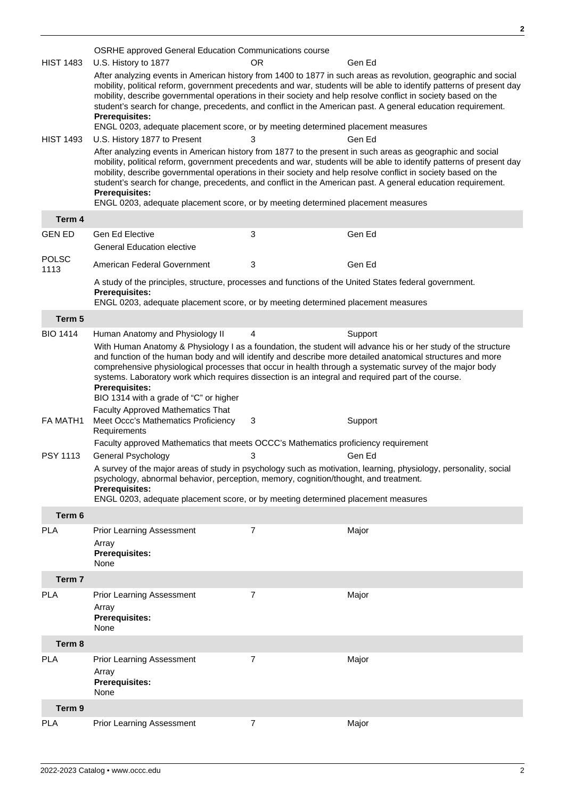|                      | <b>OSRHE</b> approved General Education Communications course                                                                                                                                                                                                                                                                                                                                                                                                                                                                                                                    |    |         |  |  |
|----------------------|----------------------------------------------------------------------------------------------------------------------------------------------------------------------------------------------------------------------------------------------------------------------------------------------------------------------------------------------------------------------------------------------------------------------------------------------------------------------------------------------------------------------------------------------------------------------------------|----|---------|--|--|
| <b>HIST 1483</b>     | U.S. History to 1877                                                                                                                                                                                                                                                                                                                                                                                                                                                                                                                                                             | OR | Gen Ed  |  |  |
|                      | After analyzing events in American history from 1400 to 1877 in such areas as revolution, geographic and social<br>mobility, political reform, government precedents and war, students will be able to identify patterns of present day<br>mobility, describe governmental operations in their society and help resolve conflict in society based on the<br>student's search for change, precedents, and conflict in the American past. A general education requirement.<br><b>Prerequisites:</b>                                                                                |    |         |  |  |
|                      | ENGL 0203, adequate placement score, or by meeting determined placement measures                                                                                                                                                                                                                                                                                                                                                                                                                                                                                                 |    |         |  |  |
| <b>HIST 1493</b>     | U.S. History 1877 to Present                                                                                                                                                                                                                                                                                                                                                                                                                                                                                                                                                     | 3  | Gen Ed  |  |  |
|                      | After analyzing events in American history from 1877 to the present in such areas as geographic and social<br>mobility, political reform, government precedents and war, students will be able to identify patterns of present day<br>mobility, describe governmental operations in their society and help resolve conflict in society based on the<br>student's search for change, precedents, and conflict in the American past. A general education requirement.<br><b>Prerequisites:</b><br>ENGL 0203, adequate placement score, or by meeting determined placement measures |    |         |  |  |
| Term 4               |                                                                                                                                                                                                                                                                                                                                                                                                                                                                                                                                                                                  |    |         |  |  |
| <b>GEN ED</b>        | Gen Ed Elective                                                                                                                                                                                                                                                                                                                                                                                                                                                                                                                                                                  | 3  | Gen Ed  |  |  |
|                      | <b>General Education elective</b>                                                                                                                                                                                                                                                                                                                                                                                                                                                                                                                                                |    |         |  |  |
| <b>POLSC</b><br>1113 | American Federal Government                                                                                                                                                                                                                                                                                                                                                                                                                                                                                                                                                      | 3  | Gen Ed  |  |  |
|                      | A study of the principles, structure, processes and functions of the United States federal government.<br><b>Prerequisites:</b>                                                                                                                                                                                                                                                                                                                                                                                                                                                  |    |         |  |  |
|                      | ENGL 0203, adequate placement score, or by meeting determined placement measures                                                                                                                                                                                                                                                                                                                                                                                                                                                                                                 |    |         |  |  |
| Term 5               |                                                                                                                                                                                                                                                                                                                                                                                                                                                                                                                                                                                  |    |         |  |  |
| <b>BIO 1414</b>      | Human Anatomy and Physiology II                                                                                                                                                                                                                                                                                                                                                                                                                                                                                                                                                  | 4  | Support |  |  |
|                      | With Human Anatomy & Physiology I as a foundation, the student will advance his or her study of the structure<br>and function of the human body and will identify and describe more detailed anatomical structures and more<br>comprehensive physiological processes that occur in health through a systematic survey of the major body<br>systems. Laboratory work which requires dissection is an integral and required part of the course.<br><b>Prerequisites:</b><br>BIO 1314 with a grade of "C" or higher<br><b>Faculty Approved Mathematics That</b>                     |    |         |  |  |
| FA MATH1             | Meet Occc's Mathematics Proficiency<br>Requirements                                                                                                                                                                                                                                                                                                                                                                                                                                                                                                                              | 3  | Support |  |  |
|                      | Faculty approved Mathematics that meets OCCC's Mathematics proficiency requirement                                                                                                                                                                                                                                                                                                                                                                                                                                                                                               |    |         |  |  |
| PSY 1113             | General Psychology                                                                                                                                                                                                                                                                                                                                                                                                                                                                                                                                                               | 3  | Gen Ed  |  |  |
|                      | A survey of the major areas of study in psychology such as motivation, learning, physiology, personality, social<br>psychology, abnormal behavior, perception, memory, cognition/thought, and treatment.<br><b>Prerequisites:</b><br>ENGL 0203, adequate placement score, or by meeting determined placement measures                                                                                                                                                                                                                                                            |    |         |  |  |
| Term 6               |                                                                                                                                                                                                                                                                                                                                                                                                                                                                                                                                                                                  |    |         |  |  |
| <b>PLA</b>           | <b>Prior Learning Assessment</b>                                                                                                                                                                                                                                                                                                                                                                                                                                                                                                                                                 | 7  | Major   |  |  |
|                      | Array<br><b>Prerequisites:</b><br>None                                                                                                                                                                                                                                                                                                                                                                                                                                                                                                                                           |    |         |  |  |
| Term 7               |                                                                                                                                                                                                                                                                                                                                                                                                                                                                                                                                                                                  |    |         |  |  |
| <b>PLA</b>           | Prior Learning Assessment<br>Array<br><b>Prerequisites:</b><br>None                                                                                                                                                                                                                                                                                                                                                                                                                                                                                                              | 7  | Major   |  |  |
| Term 8               |                                                                                                                                                                                                                                                                                                                                                                                                                                                                                                                                                                                  |    |         |  |  |
| <b>PLA</b>           | Prior Learning Assessment                                                                                                                                                                                                                                                                                                                                                                                                                                                                                                                                                        | 7  | Major   |  |  |
|                      | Array<br><b>Prerequisites:</b><br>None                                                                                                                                                                                                                                                                                                                                                                                                                                                                                                                                           |    |         |  |  |
| Term 9               |                                                                                                                                                                                                                                                                                                                                                                                                                                                                                                                                                                                  |    |         |  |  |
| <b>PLA</b>           | Prior Learning Assessment                                                                                                                                                                                                                                                                                                                                                                                                                                                                                                                                                        | 7  | Major   |  |  |

**2**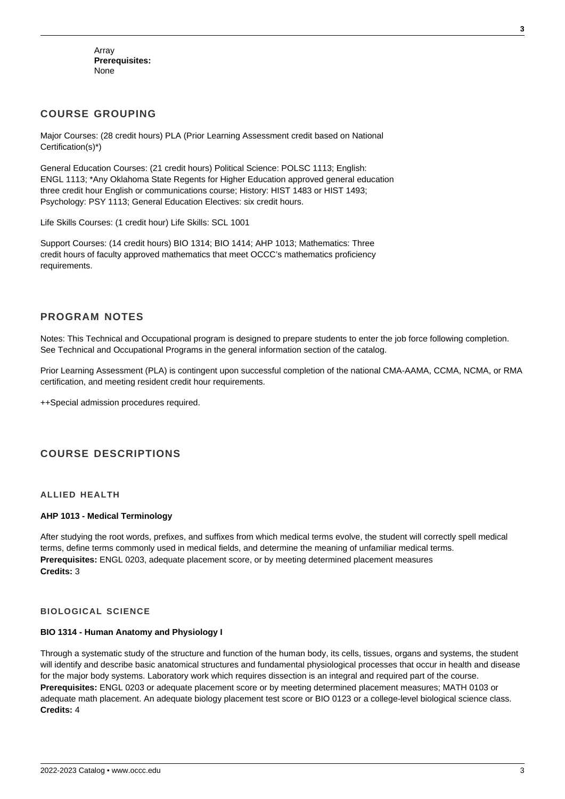Array **Prerequisites:** None

## **COURSE GROUPING**

Major Courses: (28 credit hours) PLA (Prior Learning Assessment credit based on National Certification(s)\*)

General Education Courses: (21 credit hours) Political Science: POLSC 1113; English: ENGL 1113; \*Any Oklahoma State Regents for Higher Education approved general education three credit hour English or communications course; History: HIST 1483 or HIST 1493; Psychology: PSY 1113; General Education Electives: six credit hours.

Life Skills Courses: (1 credit hour) Life Skills: SCL 1001

Support Courses: (14 credit hours) BIO 1314; BIO 1414; AHP 1013; Mathematics: Three credit hours of faculty approved mathematics that meet OCCC's mathematics proficiency requirements.

## **PROGRAM NOTES**

Notes: This Technical and Occupational program is designed to prepare students to enter the job force following completion. See Technical and Occupational Programs in the general information section of the catalog.

Prior Learning Assessment (PLA) is contingent upon successful completion of the national CMA-AAMA, CCMA, NCMA, or RMA certification, and meeting resident credit hour requirements.

++Special admission procedures required.

## **COURSE DESCRIPTIONS**

#### **ALLIED HEALTH**

#### **AHP 1013 - Medical Terminology**

After studying the root words, prefixes, and suffixes from which medical terms evolve, the student will correctly spell medical terms, define terms commonly used in medical fields, and determine the meaning of unfamiliar medical terms. **Prerequisites:** ENGL 0203, adequate placement score, or by meeting determined placement measures **Credits:** 3

#### **BIOLOGICAL SCIENCE**

#### **BIO 1314 - Human Anatomy and Physiology I**

Through a systematic study of the structure and function of the human body, its cells, tissues, organs and systems, the student will identify and describe basic anatomical structures and fundamental physiological processes that occur in health and disease for the major body systems. Laboratory work which requires dissection is an integral and required part of the course. **Prerequisites:** ENGL 0203 or adequate placement score or by meeting determined placement measures; MATH 0103 or adequate math placement. An adequate biology placement test score or BIO 0123 or a college-level biological science class. **Credits:** 4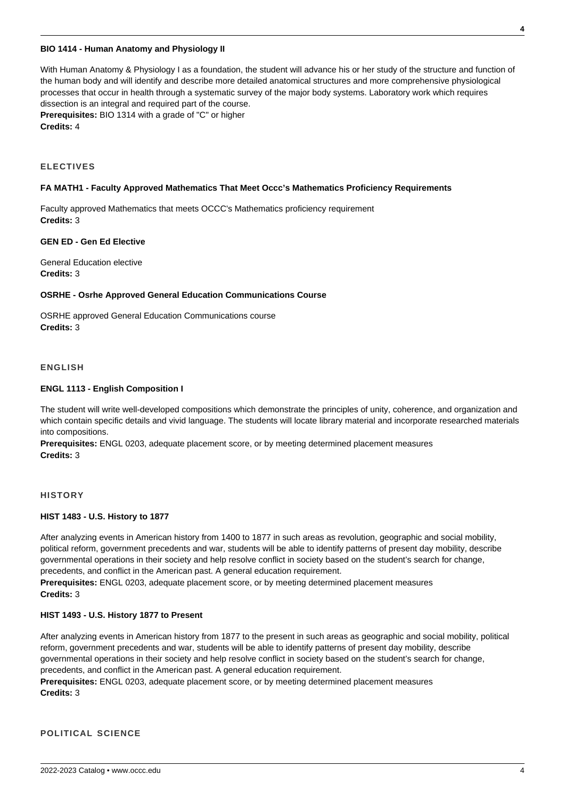#### **BIO 1414 - Human Anatomy and Physiology II**

With Human Anatomy & Physiology I as a foundation, the student will advance his or her study of the structure and function of the human body and will identify and describe more detailed anatomical structures and more comprehensive physiological processes that occur in health through a systematic survey of the major body systems. Laboratory work which requires dissection is an integral and required part of the course. **Prerequisites:** BIO 1314 with a grade of "C" or higher **Credits:** 4

#### **ELECTIVES**

#### **FA MATH1 - Faculty Approved Mathematics That Meet Occc's Mathematics Proficiency Requirements**

Faculty approved Mathematics that meets OCCC's Mathematics proficiency requirement **Credits:** 3

#### **GEN ED - Gen Ed Elective**

General Education elective **Credits:** 3

#### **OSRHE - Osrhe Approved General Education Communications Course**

OSRHE approved General Education Communications course **Credits:** 3

#### **ENGLISH**

#### **ENGL 1113 - English Composition I**

The student will write well-developed compositions which demonstrate the principles of unity, coherence, and organization and which contain specific details and vivid language. The students will locate library material and incorporate researched materials into compositions.

**Prerequisites:** ENGL 0203, adequate placement score, or by meeting determined placement measures **Credits:** 3

#### **HISTORY**

#### **HIST 1483 - U.S. History to 1877**

After analyzing events in American history from 1400 to 1877 in such areas as revolution, geographic and social mobility, political reform, government precedents and war, students will be able to identify patterns of present day mobility, describe governmental operations in their society and help resolve conflict in society based on the student's search for change, precedents, and conflict in the American past. A general education requirement.

**Prerequisites:** ENGL 0203, adequate placement score, or by meeting determined placement measures **Credits:** 3

#### **HIST 1493 - U.S. History 1877 to Present**

After analyzing events in American history from 1877 to the present in such areas as geographic and social mobility, political reform, government precedents and war, students will be able to identify patterns of present day mobility, describe governmental operations in their society and help resolve conflict in society based on the student's search for change, precedents, and conflict in the American past. A general education requirement.

**Prerequisites:** ENGL 0203, adequate placement score, or by meeting determined placement measures **Credits:** 3

#### **POLITICAL SCIENCE**